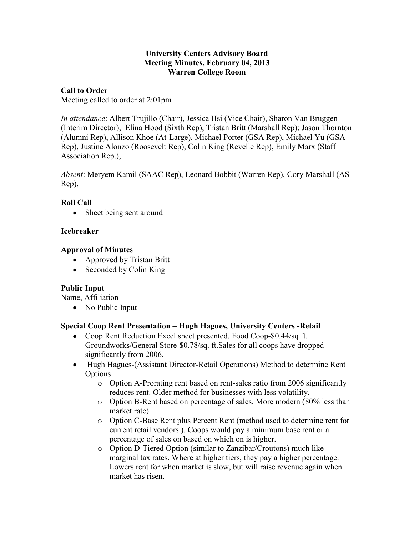### **University Centers Advisory Board Meeting Minutes, February 04, 2013 Warren College Room**

## **Call to Order**

Meeting called to order at 2:01pm

*In attendance*: Albert Trujillo (Chair), Jessica Hsi (Vice Chair), Sharon Van Bruggen (Interim Director), Elina Hood (Sixth Rep), Tristan Britt (Marshall Rep); Jason Thornton (Alumni Rep), Allison Khoe (At-Large), Michael Porter (GSA Rep), Michael Yu (GSA Rep), Justine Alonzo (Roosevelt Rep), Colin King (Revelle Rep), Emily Marx (Staff Association Rep.),

*Absent*: Meryem Kamil (SAAC Rep), Leonard Bobbit (Warren Rep), Cory Marshall (AS Rep),

## **Roll Call**

• Sheet being sent around

## **Icebreaker**

## **Approval of Minutes**

- Approved by Tristan Britt
- Seconded by Colin King

# **Public Input**

Name, Affiliation

• No Public Input

## **Special Coop Rent Presentation – Hugh Hagues, University Centers -Retail**

- Coop Rent Reduction Excel sheet presented. Food Coop-\$0.44/sq ft. Groundworks/General Store-\$0.78/sq. ft.Sales for all coops have dropped significantly from 2006.
- Hugh Hagues-(Assistant Director-Retail Operations) Method to determine Rent **Options** 
	- o Option A-Prorating rent based on rent-sales ratio from 2006 significantly reduces rent. Older method for businesses with less volatility.
	- o Option B-Rent based on percentage of sales. More modern (80% less than market rate)
	- o Option C-Base Rent plus Percent Rent (method used to determine rent for current retail vendors ). Coops would pay a minimum base rent or a percentage of sales on based on which on is higher.
	- o Option D-Tiered Option (similar to Zanzibar/Croutons) much like marginal tax rates. Where at higher tiers, they pay a higher percentage. Lowers rent for when market is slow, but will raise revenue again when market has risen.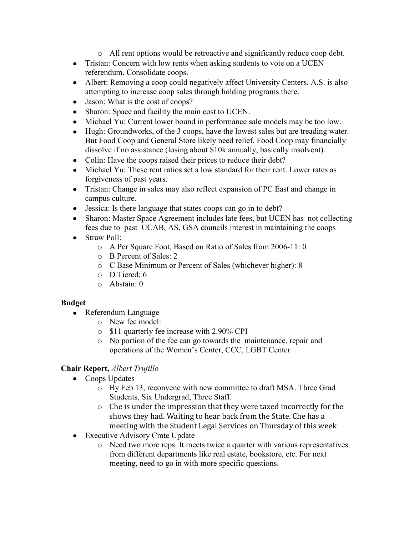- o All rent options would be retroactive and significantly reduce coop debt.
- Tristan: Concern with low rents when asking students to vote on a UCEN referendum. Consolidate coops.
- Albert: Removing a coop could negatively affect University Centers. A.S. is also attempting to increase coop sales through holding programs there.
- Jason: What is the cost of coops?
- Sharon: Space and facility the main cost to UCEN.
- Michael Yu: Current lower bound in performance sale models may be too low.
- Hugh: Groundworks, of the 3 coops, have the lowest sales but are treading water. But Food Coop and General Store likely need relief. Food Coop may financially dissolve if no assistance (losing about \$10k annually, basically insolvent).
- Colin: Have the coops raised their prices to reduce their debt?
- Michael Yu: These rent ratios set a low standard for their rent. Lower rates as forgiveness of past years.
- Tristan: Change in sales may also reflect expansion of PC East and change in campus culture.
- Jessica: Is there language that states coops can go in to debt?
- Sharon: Master Space Agreement includes late fees, but UCEN has not collecting fees due to past UCAB, AS, GSA councils interest in maintaining the coops
- Straw Poll:
	- o A Per Square Foot, Based on Ratio of Sales from 2006-11: 0
	- o B Percent of Sales: 2
	- o C Base Minimum or Percent of Sales (whichever higher): 8
	- o D Tiered: 6
	- o Abstain: 0

## **Budget**

- Referendum Language
	- o New fee model:
	- o \$11 quarterly fee increase with 2.90% CPI
	- o No portion of the fee can go towards the maintenance, repair and operations of the Women's Center, CCC, LGBT Center

# **Chair Report,** *Albert Trujillo*

- Coops Updates
	- o By Feb 13, reconvene with new committee to draft MSA. Three Grad Students, Six Undergrad, Three Staff.
	- o Che is under the impression that they were taxed incorrectly for the shows they had. Waiting to hear back from the State. Che has a meeting with the Student Legal Services on Thursday of this week
- Executive Advisory Cmte Update
	- o Need two more reps. It meets twice a quarter with various representatives from different departments like real estate, bookstore, etc. For next meeting, need to go in with more specific questions.